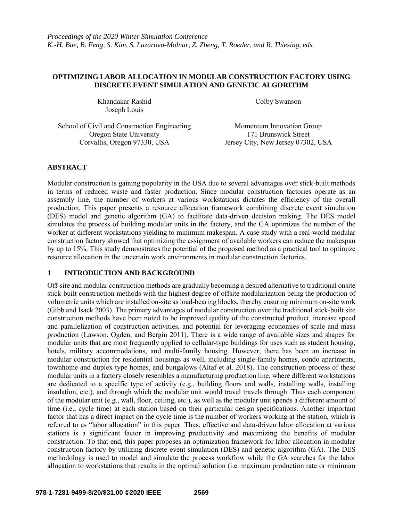# **OPTIMIZING LABOR ALLOCATION IN MODULAR CONSTRUCTION FACTORY USING DISCRETE EVENT SIMULATION AND GENETIC ALGORITHM**

Khandakar Rashid Colby Swanson Joseph Louis

School of Civil and Construction Engineering Momentum Innovation Group Oregon State University<br>
Corvallis, Oregon 97330, USA<br>
Jersey City, New Jersey 07300

Jersey City, New Jersey 07302, USA

# **ABSTRACT**

Modular construction is gaining popularity in the USA due to several advantages over stick-built methods in terms of reduced waste and faster production. Since modular construction factories operate as an assembly line, the number of workers at various workstations dictates the efficiency of the overall production. This paper presents a resource allocation framework combining discrete event simulation (DES) model and genetic algorithm (GA) to facilitate data-driven decision making. The DES model simulates the process of building modular units in the factory, and the GA optimizes the number of the worker at different workstations yielding to minimum makespan. A case study with a real-world modular construction factory showed that optimizing the assignment of available workers can reduce the makespan by up to 15%. This study demonstrates the potential of the proposed method as a practical tool to optimize resource allocation in the uncertain work environments in modular construction factories.

# **1 INTRODUCTION AND BACKGROUND**

Off-site and modular construction methods are gradually becoming a desired alternative to traditional onsite stick-built construction methods with the highest degree of offsite modularization being the production of volumetric units which are installed on-site as load-bearing blocks, thereby ensuring minimum on-site work (Gibb and Isack 2003). The primary advantages of modular construction over the traditional stick-built site construction methods have been noted to be improved quality of the constructed product, increase speed and parallelization of construction activities, and potential for leveraging economies of scale and mass production (Lawson, Ogden, and Bergin 2011). There is a wide range of available sizes and shapes for modular units that are most frequently applied to cellular-type buildings for uses such as student housing, hotels, military accommodations, and multi-family housing. However, there has been an increase in modular construction for residential housings as well, including single-family homes, condo apartments, townhome and duplex type homes, and bungalows (Altaf et al. 2018). The construction process of these modular units in a factory closely resembles a manufacturing production line, where different workstations are dedicated to a specific type of activity (e.g., building floors and walls, installing walls, installing insulation, etc.), and through which the modular unit would travel travels through. Thus each component of the modular unit (e.g., wall, floor, ceiling, etc.), as well as the modular unit spends a different amount of time (i.e., cycle time) at each station based on their particular design specifications. Another important factor that has a direct impact on the cycle time is the number of workers working at the station, which is referred to as "labor allocation" in this paper. Thus, effective and data-driven labor allocation at various stations is a significant factor in improving productivity and maximizing the benefits of modular construction. To that end, this paper proposes an optimization framework for labor allocation in modular construction factory by utilizing discrete event simulation (DES) and genetic algorithm (GA). The DES methodology is used to model and simulate the process workflow while the GA searches for the labor allocation to workstations that results in the optimal solution (i.e. maximum production rate or minimum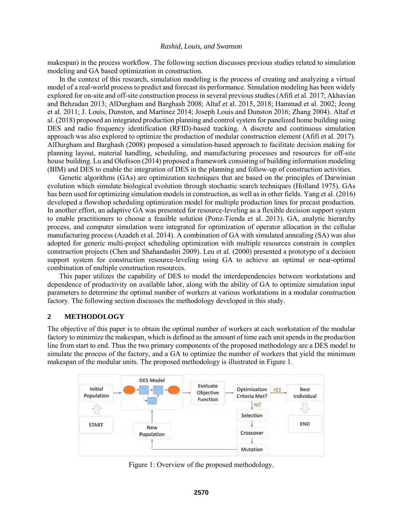makespan) in the process workflow. The following section discusses previous studies related to simulation modeling and GA based optimization in construction.

In the context of this research, simulation modeling is the process of creating and analyzing a virtual model of a real-world process to predict and forecast its performance. Simulation modeling has been widely explored for on-site and off-site construction process in several previous studies (Afifi et al. 2017; Akhavian and Behzadan 2013; AlDurgham and Barghash 2008; Altaf et al. 2015, 2018; Hammad et al. 2002; Jeong et al. 2011; J. Louis, Dunston, and Martinez 2014; Joseph Louis and Dunston 2016; Zhang 2004). Altaf et al. (2018) proposed an integrated production planning and control system for panelized home building using DES and radio frequency identification (RFID)-based tracking. A discrete and continuous simulation approach was also explored to optimize the production of modular construction element (Afifi et al. 2017). AlDurgham and Barghash (2008) proposed a simulation-based approach to facilitate decision making for planning layout, material handling, scheduling, and manufacturing processes and resources for off-site house building. Lu and Olofsson (2014) proposed a framework consisting of building information modeling (BIM) and DES to enable the integration of DES in the planning and follow-up of construction activities.

Genetic algorithms (GAs) are optimization techniques that are based on the principles of Darwinian evolution which simulate biological evolution through stochastic search techniques (Holland 1975). GAs has been used for optimizing simulation models in construction, as well as in other fields. Yang et al. (2016) developed a flowshop scheduling optimization model for multiple production lines for precast production. In another effort, an adaptive GA was presented for resource-leveling as a flexible decision support system to enable practitioners to choose a feasible solution (Ponz-Tienda et al. 2013). GA, analytic hierarchy process, and computer simulation were integrated for optimization of operator allocation in the cellular manufacturing process (Azadeh et al. 2014). A combination of GA with simulated annealing (SA) was also adopted for generic multi-project scheduling optimization with multiple resources constrain in complex construction projects (Chen and Shahandashti 2009). Leu et al. (2000) presented a prototype of a decision support system for construction resource-leveling using GA to achieve an optimal or near-optimal combination of multiple construction resources.

This paper utilizes the capability of DES to model the interdependencies between workstations and dependence of productivity on available labor, along with the ability of GA to optimize simulation input parameters to determine the optimal number of workers at various workstations in a modular construction factory. The following section discusses the methodology developed in this study.

### **2 METHODOLOGY**

The objective of this paper is to obtain the optimal number of workers at each workstation of the modular factory to minimize the makespan, which is defined as the amount of time each unit spends in the production line from start to end. Thus the two primary components of the proposed methodology are a DES model to simulate the process of the factory, and a GA to optimize the number of workers that yield the minimum makespan of the modular units. The proposed methodology is illustrated in Figure 1.



Figure 1: Overview of the proposed methodology.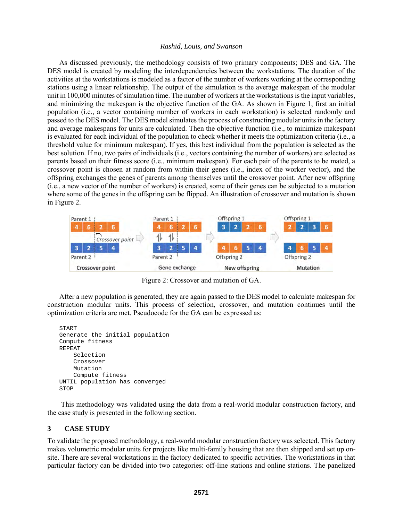As discussed previously, the methodology consists of two primary components; DES and GA. The DES model is created by modeling the interdependencies between the workstations. The duration of the activities at the workstations is modeled as a factor of the number of workers working at the corresponding stations using a linear relationship. The output of the simulation is the average makespan of the modular unit in 100,000 minutes of simulation time. The number of workers at the workstations is the input variables, and minimizing the makespan is the objective function of the GA. As shown in Figure 1, first an initial population (i.e., a vector containing number of workers in each workstation) is selected randomly and passed to the DES model. The DES model simulates the process of constructing modular units in the factory and average makespans for units are calculated. Then the objective function (i.e., to minimize makespan) is evaluated for each individual of the population to check whether it meets the optimization criteria (i.e., a threshold value for minimum makespan). If yes, this best individual from the population is selected as the best solution. If no, two pairs of individuals (i.e., vectors containing the number of workers) are selected as parents based on their fitness score (i.e., minimum makespan). For each pair of the parents to be mated, a crossover point is chosen at random from within their genes (i.e., index of the worker vector), and the offspring exchanges the genes of parents among themselves until the crossover point. After new offspring (i.e., a new vector of the number of workers) is created, some of their genes can be subjected to a mutation where some of the genes in the offspring can be flipped. An illustration of crossover and mutation is shown in Figure 2.



Figure 2: Crossover and mutation of GA.

After a new population is generated, they are again passed to the DES model to calculate makespan for construction modular units. This process of selection, crossover, and mutation continues until the optimization criteria are met. Pseudocode for the GA can be expressed as:

```
START
Generate the initial population
Compute fitness
REPEAT
     Selection
     Crossover
     Mutation
     Compute fitness
UNTIL population has converged
STOP
```
This methodology was validated using the data from a real-world modular construction factory, and the case study is presented in the following section.

### **3 CASE STUDY**

To validate the proposed methodology, a real-world modular construction factory was selected. This factory makes volumetric modular units for projects like multi-family housing that are then shipped and set up onsite. There are several workstations in the factory dedicated to specific activities. The workstations in that particular factory can be divided into two categories: off-line stations and online stations. The panelized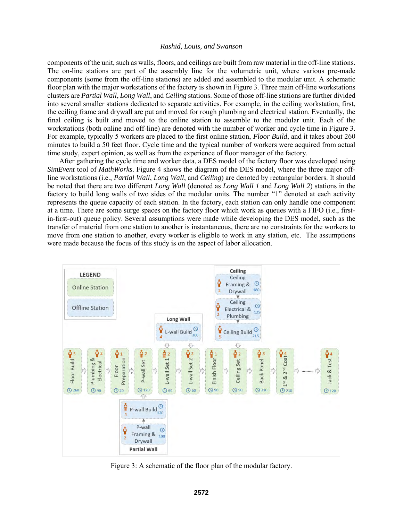components of the unit, such as walls, floors, and ceilings are built from raw material in the off-line stations. The on-line stations are part of the assembly line for the volumetric unit, where various pre-made components (some from the off-line stations) are added and assembled to the modular unit. A schematic floor plan with the major workstations of the factory is shown in Figure 3. Three main off-line workstations clusters are *Partial Wall*, *Long Wall*, and *Ceiling* stations. Some of those off-line stations are further divided into several smaller stations dedicated to separate activities. For example, in the ceiling workstation, first, the ceiling frame and drywall are put and moved for rough plumbing and electrical station. Eventually, the final ceiling is built and moved to the online station to assemble to the modular unit. Each of the workstations (both online and off-line) are denoted with the number of worker and cycle time in Figure 3. For example, typically 5 workers are placed to the first online station, *Floor Build*, and it takes about 260 minutes to build a 50 feet floor. Cycle time and the typical number of workers were acquired from actual time study, expert opinion, as well as from the experience of floor manager of the factory.

After gathering the cycle time and worker data, a DES model of the factory floor was developed using *SimEvent* tool of *MathWorks*. Figure 4 shows the diagram of the DES model, where the three major offline workstations (i.e., *Partial Wall*, *Long Wall*, and *Ceiling*) are denoted by rectangular borders. It should be noted that there are two different *Long Wall* (denoted as *Long Wall 1* and *Long Wall 2*) stations in the factory to build long walls of two sides of the modular units. The number "1" denoted at each activity represents the queue capacity of each station. In the factory, each station can only handle one component at a time. There are some surge spaces on the factory floor which work as queues with a FIFO (i.e., firstin-first-out) queue policy. Several assumptions were made while developing the DES model, such as the transfer of material from one station to another is instantaneous, there are no constraints for the workers to move from one station to another, every worker is eligible to work in any station, etc. The assumptions were made because the focus of this study is on the aspect of labor allocation.



Figure 3: A schematic of the floor plan of the modular factory.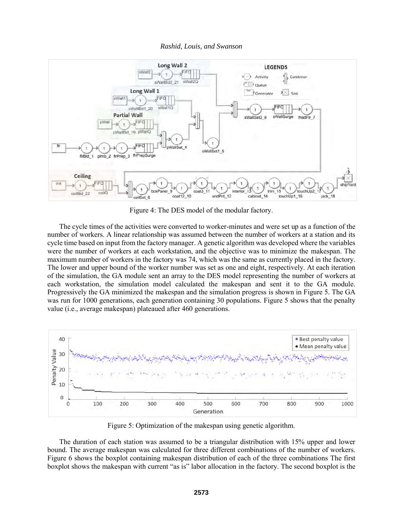

Figure 4: The DES model of the modular factory.

The cycle times of the activities were converted to worker-minutes and were set up as a function of the number of workers. A linear relationship was assumed between the number of workers at a station and its cycle time based on input from the factory manager. A genetic algorithm was developed where the variables were the number of workers at each workstation, and the objective was to minimize the makespan. The maximum number of workers in the factory was 74, which was the same as currently placed in the factory. The lower and upper bound of the worker number was set as one and eight, respectively. At each iteration of the simulation, the GA module sent an array to the DES model representing the number of workers at each workstation, the simulation model calculated the makespan and sent it to the GA module. Progressively the GA minimized the makespan and the simulation progress is shown in Figure 5*.* The GA was run for 1000 generations, each generation containing 30 populations. Figure 5 shows that the penalty value (i.e., average makespan) plateaued after 460 generations.



Figure 5: Optimization of the makespan using genetic algorithm.

The duration of each station was assumed to be a triangular distribution with 15% upper and lower bound. The average makespan was calculated for three different combinations of the number of workers. Figure 6 shows the boxplot containing makespan distribution of each of the three combinations The first boxplot shows the makespan with current "as is" labor allocation in the factory. The second boxplot is the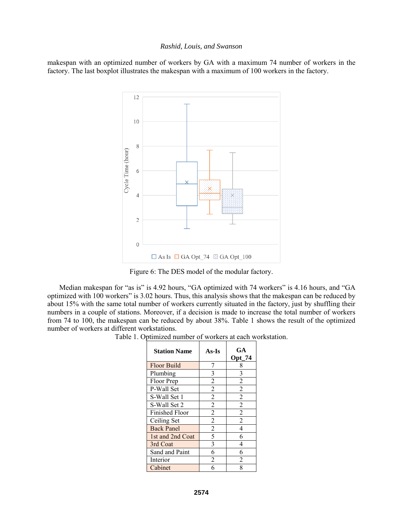makespan with an optimized number of workers by GA with a maximum 74 number of workers in the factory. The last boxplot illustrates the makespan with a maximum of 100 workers in the factory.



Figure 6: The DES model of the modular factory.

Median makespan for "as is" is 4.92 hours, "GA optimized with 74 workers" is 4.16 hours, and "GA optimized with 100 workers" is 3.02 hours. Thus, this analysis shows that the makespan can be reduced by about 15% with the same total number of workers currently situated in the factory, just by shuffling their numbers in a couple of stations. Moreover, if a decision is made to increase the total number of workers from 74 to 100, the makespan can be reduced by about 38%. Table 1 shows the result of the optimized number of workers at different workstations.

Table 1. Optimized number of workers at each workstation.

| <b>Station Name</b>   | As-Is          | GA<br><b>Opt 74</b> |
|-----------------------|----------------|---------------------|
| <b>Floor Build</b>    | 7              | 8                   |
| Plumbing              | 3              | 3                   |
| Floor Prep            | $\overline{2}$ | $\overline{2}$      |
| P-Wall Set            | $\overline{2}$ | $\overline{2}$      |
| S-Wall Set 1          | $\overline{2}$ | $\overline{2}$      |
| S-Wall Set 2          | $\overline{2}$ | $\overline{2}$      |
| <b>Finished Floor</b> | $\overline{2}$ | $\overline{2}$      |
| Ceiling Set           | $\overline{2}$ | $\overline{2}$      |
| <b>Back Panel</b>     | $\overline{2}$ | $\overline{4}$      |
| 1st and 2nd Coat      | 5              | 6                   |
| 3rd Coat              | 3              | 4                   |
| Sand and Paint        | 6              | 6                   |
| Interior              | 2              | 2                   |
| Cabinet               | 6              | 8                   |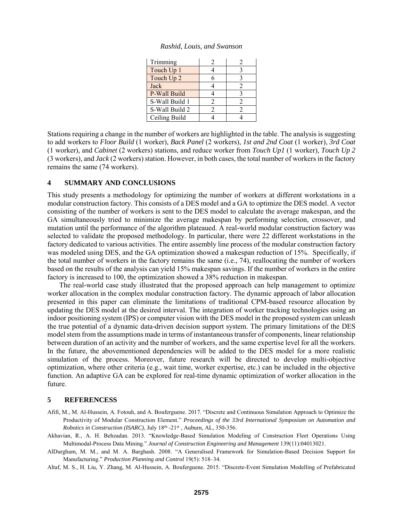| Trimming       |  |
|----------------|--|
| Touch Up 1     |  |
| Touch Up 2     |  |
| Jack           |  |
| P-Wall Build   |  |
| S-Wall Build 1 |  |
| S-Wall Build 2 |  |
| Ceiling Build  |  |

*Rashid, Louis, and Swanson*

Stations requiring a change in the number of workers are highlighted in the table. The analysis is suggesting to add workers to *Floor Build* (1 worker), *Back Panel* (2 workers), *1st and 2nd Coat* (1 worker), *3rd Coat*  (1 worker), and *Cabinet* (2 workers) stations, and reduce worker from *Touch Up1* (1 worker), *Touch Up 2* (3 workers), and *Jack* (2 workers) station. However, in both cases, the total number of workers in the factory remains the same (74 workers).

### **4 SUMMARY AND CONCLUSIONS**

This study presents a methodology for optimizing the number of workers at different workstations in a modular construction factory. This consists of a DES model and a GA to optimize the DES model. A vector consisting of the number of workers is sent to the DES model to calculate the average makespan, and the GA simultaneously tried to minimize the average makespan by performing selection, crossover, and mutation until the performance of the algorithm plateaued. A real-world modular construction factory was selected to validate the proposed methodology. In particular, there were 22 different workstations in the factory dedicated to various activities. The entire assembly line process of the modular construction factory was modeled using DES, and the GA optimization showed a makespan reduction of 15%. Specifically, if the total number of workers in the factory remains the same (i.e., 74), reallocating the number of workers based on the results of the analysis can yield 15% makespan savings. If the number of workers in the entire factory is increased to 100, the optimization showed a 38% reduction in makespan.

The real-world case study illustrated that the proposed approach can help management to optimize worker allocation in the complex modular construction factory. The dynamic approach of labor allocation presented in this paper can eliminate the limitations of traditional CPM-based resource allocation by updating the DES model at the desired interval. The integration of worker tracking technologies using an indoor positioning system (IPS) or computer vision with the DES model in the proposed system can unleash the true potential of a dynamic data-driven decision support system. The primary limitations of the DES model stem from the assumptions made in terms of instantaneous transfer of components, linear relationship between duration of an activity and the number of workers, and the same expertise level for all the workers. In the future, the abovementioned dependencies will be added to the DES model for a more realistic simulation of the process. Moreover, future research will be directed to develop multi-objective optimization, where other criteria (e.g., wait time, worker expertise, etc.) can be included in the objective function. An adaptive GA can be explored for real-time dynamic optimization of worker allocation in the future.

#### **5 REFERENCESS**

- Afifi, M., M. Al-Hussein, A. Fotouh, and A. Bouferguene. 2017. "Discrete and Continuous Simulation Approach to Optimize the Productivity of Modular Construction Element." *Proceedings of the 33rd International Symposium on Automation and Robotics in Construction (ISARC)*, July 18th -21st , Auburn, AL, 350-356.
- Akhavian, R., A. H. Behzadan. 2013. "Knowledge-Based Simulation Modeling of Construction Fleet Operations Using Multimodal-Process Data Mining." *Journal of Construction Engineering and Management* 139(11):04013021.

AlDurgham, M. M., and M. A. Barghash. 2008. "A Generalised Framework for Simulation-Based Decision Support for Manufacturing." *Production Planning and Control* 19(5): 518–34.

Altaf, M. S., H. Liu, Y. Zhang, M. Al-Hussein, A. Bouferguene. 2015. "Discrete-Event Simulation Modelling of Prefabricated